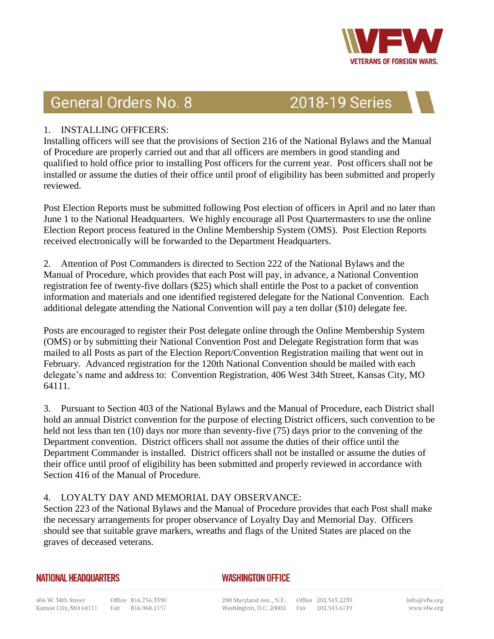

# **General Orders No. 8**

## **2018-19 Series**

## 1. INSTALLING OFFICERS:

Installing officers will see that the provisions of Section 216 of the National Bylaws and the Manual of Procedure are properly carried out and that all officers are members in good standing and qualified to hold office prior to installing Post officers for the current year. Post officers shall not be installed or assume the duties of their office until proof of eligibility has been submitted and properly reviewed.

Post Election Reports must be submitted following Post election of officers in April and no later than June 1 to the National Headquarters. We highly encourage all Post Quartermasters to use the online Election Report process featured in the Online Membership System (OMS). Post Election Reports received electronically will be forwarded to the Department Headquarters.

2. Attention of Post Commanders is directed to Section 222 of the National Bylaws and the Manual of Procedure, which provides that each Post will pay, in advance, a National Convention registration fee of twenty-five dollars (\$25) which shall entitle the Post to a packet of convention information and materials and one identified registered delegate for the National Convention. Each additional delegate attending the National Convention will pay a ten dollar (\$10) delegate fee.

Posts are encouraged to register their Post delegate online through the Online Membership System (OMS) or by submitting their National Convention Post and Delegate Registration form that was mailed to all Posts as part of the Election Report/Convention Registration mailing that went out in February. Advanced registration for the 120th National Convention should be mailed with each delegate's name and address to: Convention Registration, 406 West 34th Street, Kansas City, MO 64111.

3. Pursuant to Section 403 of the National Bylaws and the Manual of Procedure, each District shall hold an annual District convention for the purpose of electing District officers, such convention to be held not less than ten (10) days nor more than seventy-five (75) days prior to the convening of the Department convention. District officers shall not assume the duties of their office until the Department Commander is installed. District officers shall not be installed or assume the duties of their office until proof of eligibility has been submitted and properly reviewed in accordance with Section 416 of the Manual of Procedure.

#### 4. LOYALTY DAY AND MEMORIAL DAY OBSERVANCE:

Section 223 of the National Bylaws and the Manual of Procedure provides that each Post shall make the necessary arrangements for proper observance of Loyalty Day and Memorial Day. Officers should see that suitable grave markers, wreaths and flags of the United States are placed on the graves of deceased veterans.

#### **NATIONAL HEADQUARTERS**

## **WASHINGTON OFFICE**

200 Maryland Ave., N.E. Office 202.543.2239 Washington, D.C. 20002 Fax 202.543.6719